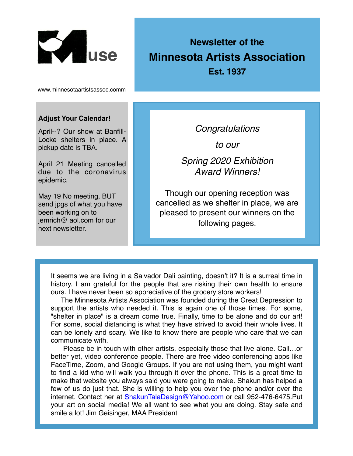

# **Newsletter of the Minnesota Artists Association**

**Est. 1937**

www.minnesotaartistsassoc.comm

#### **Adjust Your Calendar!**

April--? Our show at Banfill-Locke shelters in place. A pickup date is TBA.

April 21 Meeting cancelled due to the coronavirus epidemic.

May 19 No meeting, BUT send jpgs of what you have been working on to jemrich@ aol.com for our next newsletter.

*Congratulations* 

*to our* 

*Spring 2020 Exhibition Award Winners!*

Though our opening reception was cancelled as we shelter in place, we are pleased to present our winners on the following pages.

It seems we are living in a Salvador Dali painting, doesn't it? It is a surreal time in history. I am grateful for the people that are risking their own health to ensure ours. I have never been so appreciative of the grocery store workers!

 The Minnesota Artists Association was founded during the Great Depression to support the artists who needed it. This is again one of those times. For some, "shelter in place" is a dream come true. Finally, time to be alone and do our art! For some, social distancing is what they have strived to avoid their whole lives. It can be lonely and scary. We like to know there are people who care that we can communicate with.

 Please be in touch with other artists, especially those that live alone. Call…or better yet, video conference people. There are free video conferencing apps like FaceTime, Zoom, and Google Groups. If you are not using them, you might want to find a kid who will walk you through it over the phone. This is a great time to make that website you always said you were going to make. Shakun has helped a few of us do just that. She is willing to help you over the phone and/or over the internet. Contact her at **[ShakunTalaDesign@Yahoo.com](mailto:ShakunTalaDesign@Yahoo.com)** or call 952-476-6475.Put your art on social media! We all want to see what you are doing. Stay safe and smile a lot! Jim Geisinger, MAA President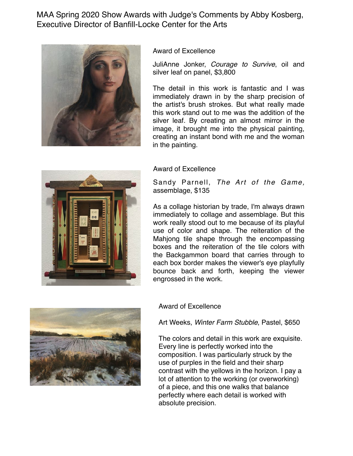MAA Spring 2020 Show Awards with Judge's Comments by Abby Kosberg, Executive Director of Banfill-Locke Center for the Arts



Award of Excellence

JuliAnne Jonker, *Courage to Survive*, oil and silver leaf on panel, \$3,800

The detail in this work is fantastic and I was immediately drawn in by the sharp precision of the artist's brush strokes. But what really made this work stand out to me was the addition of the silver leaf. By creating an almost mirror in the image, it brought me into the physical painting, creating an instant bond with me and the woman in the painting.



Sandy Parnell, *The Art of the Game,* assemblage, \$135

As a collage historian by trade, I'm always drawn immediately to collage and assemblage. But this work really stood out to me because of its playful use of color and shape. The reiteration of the Mahjong tile shape through the encompassing boxes and the reiteration of the tile colors with the Backgammon board that carries through to each box border makes the viewer's eye playfully bounce back and forth, keeping the viewer engrossed in the work.





Award of Excellence

Art Weeks, *Winter Farm Stubble*, Pastel, \$650

The colors and detail in this work are exquisite. Every line is perfectly worked into the composition. I was particularly struck by the use of purples in the field and their sharp contrast with the yellows in the horizon. I pay a lot of attention to the working (or overworking) of a piece, and this one walks that balance perfectly where each detail is worked with absolute precision.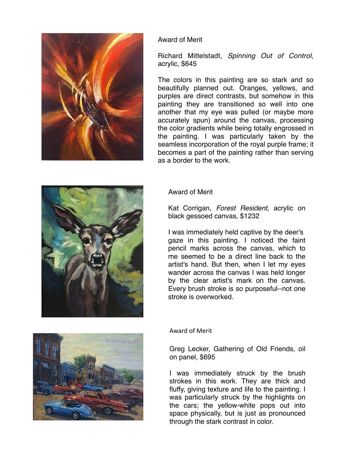

### Award of Merit

Richard Mittelstadt, *Spinning Out of Control*, acrylic, \$645

The colors in this painting are so stark and so beautifully planned out. Oranges, yellows, and purples are direct contrasts, but somehow in this painting they are transitioned so well into one another that my eye was pulled (or maybe more accurately spun) around the canvas, processing the color gradients while being totally engrossed in the painting. I was particularly taken by the seamless incorporation of the royal purple frame; it becomes a part of the painting rather than serving as a border to the work.



Kat Corrigan, *Forest Resident,* acrylic on black gessoed canvas, \$1232

I was immediately held captive by the deer's gaze in this painting. I noticed the faint pencil marks across the canvas, which to me seemed to be a direct line back to the artist's hand. But then, when I let my eyes wander across the canvas I was held longer by the clear artist's mark on the canvas. Every brush stroke is so purposeful--not one stroke is overworked.

Award of Merit

Greg Lecker, Gathering of Old Friends, oil on panel, \$695

I was immediately struck by the brush strokes in this work. They are thick and fluffy, giving texture and life to the painting. I was particularly struck by the highlights on the cars; the yellow-white pops out into space physically, but is just as pronounced through the stark contrast in color.



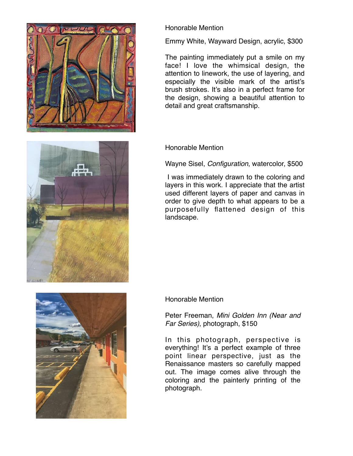





Emmy White, Wayward Design, acrylic, \$300

The painting immediately put a smile on my face! I love the whimsical design, the attention to linework, the use of layering, and especially the visible mark of the artist's brush strokes. It's also in a perfect frame for the design, showing a beautiful attention to detail and great craftsmanship.

### Honorable Mention

Wayne Sisel, *Configuration*, watercolor, \$500

 I was immediately drawn to the coloring and layers in this work. I appreciate that the artist used different layers of paper and canvas in order to give depth to what appears to be a purposefully flattened design of this landscape.



#### Honorable Mention

Peter Freeman, *Mini Golden Inn (Near and Far Series)*, photograph, \$150

In this photograph, perspective is everything! It's a perfect example of three point linear perspective, just as the Renaissance masters so carefully mapped out. The image comes alive through the coloring and the painterly printing of the photograph.